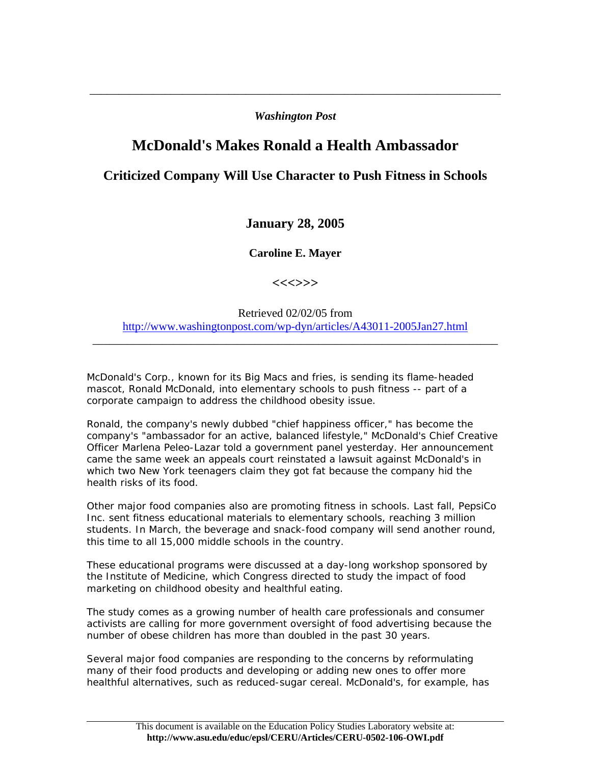## *Washington Post*

\_\_\_\_\_\_\_\_\_\_\_\_\_\_\_\_\_\_\_\_\_\_\_\_\_\_\_\_\_\_\_\_\_\_\_\_\_\_\_\_\_\_\_\_\_\_\_\_\_\_\_\_\_\_\_\_\_\_\_\_\_\_\_\_\_\_\_\_\_\_\_

## **McDonald's Makes Ronald a Health Ambassador**

## **Criticized Company Will Use Character to Push Fitness in Schools**

## **January 28, 2005**

**Caroline E. Mayer** 

**<<<>>>** 

Retrieved 02/02/05 from <http://www.washingtonpost.com/wp-dyn/articles/A43011-2005Jan27.html>

\_\_\_\_\_\_\_\_\_\_\_\_\_\_\_\_\_\_\_\_\_\_\_\_\_\_\_\_\_\_\_\_\_\_\_\_\_\_\_\_\_\_\_\_\_\_\_\_\_\_\_\_\_\_\_\_\_\_\_\_\_\_\_\_\_\_\_\_\_\_

McDonald's Corp., known for its Big Macs and fries, is sending its flame-headed mascot, Ronald McDonald, into elementary schools to push fitness -- part of a corporate campaign to address the childhood obesity issue.

Ronald, the company's newly dubbed "chief happiness officer," has become the company's "ambassador for an active, balanced lifestyle," McDonald's Chief Creative Officer Marlena Peleo-Lazar told a government panel yesterday. Her announcement came the same week an appeals court reinstated a lawsuit against McDonald's in which two New York teenagers claim they got fat because the company hid the health risks of its food.

Other major food companies also are promoting fitness in schools. Last fall, PepsiCo Inc. sent fitness educational materials to elementary schools, reaching 3 million students. In March, the beverage and snack-food company will send another round, this time to all 15,000 middle schools in the country.

These educational programs were discussed at a day-long workshop sponsored by the Institute of Medicine, which Congress directed to study the impact of food marketing on childhood obesity and healthful eating.

The study comes as a growing number of health care professionals and consumer activists are calling for more government oversight of food advertising because the number of obese children has more than doubled in the past 30 years.

Several major food companies are responding to the concerns by reformulating many of their food products and developing or adding new ones to offer more healthful alternatives, such as reduced-sugar cereal. McDonald's, for example, has